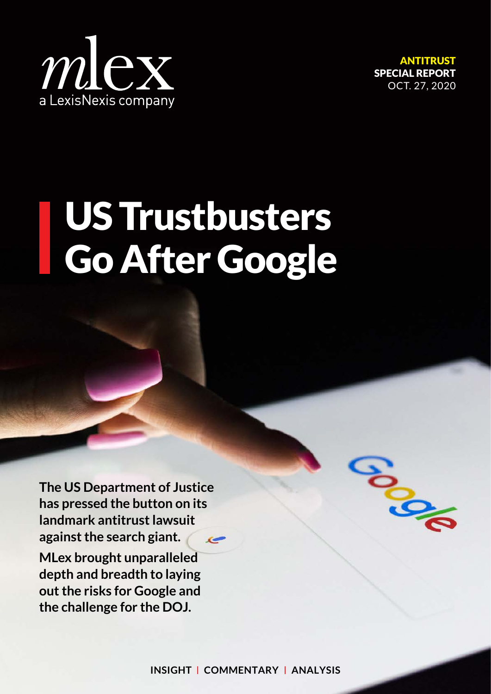

ANTITRUST SPECIAL REPORT OCT. 27, 2020

**Pool** 

## US Trustbusters Go After Google

**The US Department of Justice has pressed the button on its landmark antitrust lawsuit against the search giant.**   $\epsilon$ **MLex brought unparalleled depth and breadth to laying out the risks for Google and** 

**the challenge for the DOJ.**

**INSIGHT** | **COMMENTARY** | **ANALYSIS**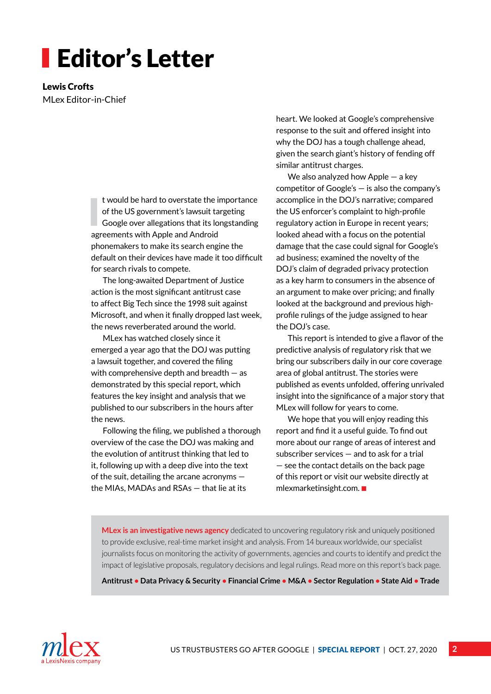## Editor's Letter

Lewis Crofts MLex Editor-in-Chief

> I t would be hard to overstate the importance of the US government's lawsuit targeting Google over allegations that its longstanding agreements with Apple and Android phonemakers to make its search engine the default on their devices have made it too difficult for search rivals to compete.

The long-awaited Department of Justice action is the most significant antitrust case to affect Big Tech since the 1998 suit against Microsoft, and when it finally dropped last week, the news reverberated around the world.

MLex has watched closely since it emerged a year ago that the DOJ was putting a lawsuit together, and covered the filing with comprehensive depth and breadth — as demonstrated by this special report, which features the key insight and analysis that we published to our subscribers in the hours after the news.

Following the filing, we published a thorough overview of the case the DOJ was making and the evolution of antitrust thinking that led to it, following up with a deep dive into the text of the suit, detailing the arcane acronyms the MIAs, MADAs and RSAs — that lie at its

heart. We looked at Google's comprehensive response to the suit and offered insight into why the DOJ has a tough challenge ahead, given the search giant's history of fending off similar antitrust charges.

We also analyzed how Apple — a key competitor of Google's — is also the company's accomplice in the DOJ's narrative; compared the US enforcer's complaint to high-profile regulatory action in Europe in recent years; looked ahead with a focus on the potential damage that the case could signal for Google's ad business; examined the novelty of the DOJ's claim of degraded privacy protection as a key harm to consumers in the absence of an argument to make over pricing; and finally looked at the background and previous highprofile rulings of the judge assigned to hear the DOJ's case.

This report is intended to give a flavor of the predictive analysis of regulatory risk that we bring our subscribers daily in our core coverage area of global antitrust. The stories were published as events unfolded, offering unrivaled insight into the significance of a major story that MLex will follow for years to come.

We hope that you will enjoy reading this report and find it a useful guide. To find out more about our range of areas of interest and subscriber services — and to ask for a trial — see the contac[t details on the back page](#page-23-0)  of this r[eport or visit our website dire](http://mlexmarketinsight.com)ctly at [mlexmarketinsight.com.](http://mlexmarketinsight.com)  $\blacksquare$ 

**MLex is an investigative news agency** dedicated to uncovering regulatory risk and uniquely positioned to provide exclusive, real-time market insight and analysis. From 14 bureaux worldwide, our specialist journalists focus on monitoring the activity of governments, agencies and courts to identify and predict the impact of legislative proposals, regulatory decisions and legal rulings[. Read more on this report's back page.](#page-23-0) 

**Antitrust • Data Privacy & Security • Financial Crime • M&A • Sector Regulation • State Aid • Trade**

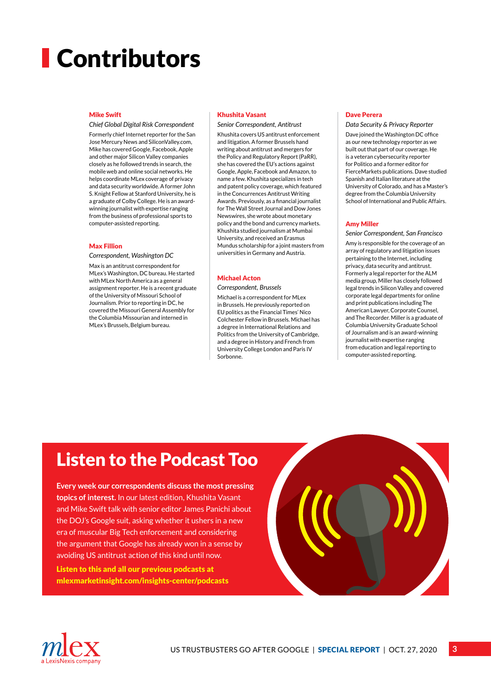## **Contributors**

### Mike Swift

#### *Chief Global Digital Risk Correspondent*

Formerly chief Internet reporter for the San Jose Mercury News and SiliconValley.com, Mike has covered Google, Facebook, Apple and other major Silicon Valley companies closely as he followed trends in search, the mobile web and online social networks. He helps coordinate MLex coverage of privacy and data security worldwide. A former John S. Knight Fellow at Stanford University, he is a graduate of Colby College. He is an awardwinning journalist with expertise ranging from the business of professional sports to computer-assisted reporting.

### Max Fillion

*Correspondent, Washington DC*

Max is an antitrust correspondent for MLex's Washington, DC bureau. He started with MLex North America as a general assignment reporter. He is a recent graduate of the University of Missouri School of Journalism. Prior to reporting in DC, he covered the Missouri General Assembly for the Columbia Missourian and interned in MLex's Brussels, Belgium bureau.

### Khushita Vasant

### *Senior Correspondent, Antitrust*

Khushita covers US antitrust enforcement and litigation. A former Brussels hand writing about antitrust and mergers for the Policy and Regulatory Report (PaRR), she has covered the EU's actions against Google, Apple, Facebook and Amazon, to name a few. Khushita specializes in tech and patent policy coverage, which featured in the Concurrences Antitrust Writing Awards. Previously, as a financial journalist for The Wall Street Journal and Dow Jones Newswires, she wrote about monetary policy and the bond and currency markets. Khushita studied journalism at Mumbai University, and received an Erasmus Mundus scholarship for a joint masters from universities in Germany and Austria.

### Michael Acton

### *Correspondent, Brussels*

Michael is a correspondent for MLex in Brussels. He previously reported on EU politics as the Financial Times' Nico Colchester Fellow in Brussels. Michael has a degree in International Relations and Politics from the University of Cambridge, and a degree in History and French from University College London and Paris IV Sorbonne.

### Dave Perera

*Data Security & Privacy Reporter*

Dave joined the Washington DC office as our new technology reporter as we built out that part of our coverage. He is a veteran cybersecurity reporter for Politico and a former editor for FierceMarkets publications. Dave studied Spanish and Italian literature at the University of Colorado, and has a Master's degree from the Columbia University School of International and Public Affairs.

### Amy Miller

*Senior Correspondent, San Francisco*

Amy is responsible for the coverage of an array of regulatory and litigation issues pertaining to the Internet, including privacy, data security and antitrust. Formerly a legal reporter for the ALM media group, Miller has closely followed legal trends in Silicon Valley and covered corporate legal departments for online and print publications including The American Lawyer, Corporate Counsel, and The Recorder. Miller is a graduate of Columbia University Graduate School of Journalism and is an award-winning journalist with expertise ranging from education and legal reporting to computer-assisted reporting.

### [Listen to the Podcast Too](http://mlexmarketinsight.com/insights-center/podcasts)

**Every week our correspondents discuss the most pressing topics of interest.** In our latest edition, Khushita Vasant and Mike Swift talk with senior editor James Panichi about the DOJ's Google suit, asking whether it ushers in a new era of muscular Big Tech enforcement and considering the argument that Google has already won in a sense by avoiding US antitrust action of this kind until now.

Listen to this and all our previous podcasts at mlexmarketinsight.com/insights-center/podcasts



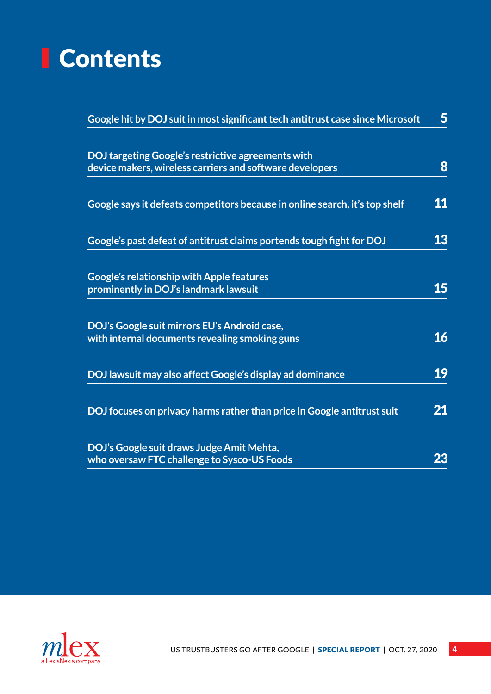## <span id="page-3-0"></span>**Contents**

| Google hit by DOJ suit in most significant tech antitrust case since Microsoft                                 | $5\phantom{.}$ |
|----------------------------------------------------------------------------------------------------------------|----------------|
| DOJ targeting Google's restrictive agreements with<br>device makers, wireless carriers and software developers | 8              |
| Google says it defeats competitors because in online search, it's top shelf                                    | 11             |
| Google's past defeat of antitrust claims portends tough fight for DOJ                                          | 13             |
| <b>Google's relationship with Apple features</b><br>prominently in DOJ's landmark lawsuit                      | 15             |
| DOJ's Google suit mirrors EU's Android case,<br>with internal documents revealing smoking guns                 | 16             |
| DOJ lawsuit may also affect Google's display ad dominance                                                      | 19             |
| DOJ focuses on privacy harms rather than price in Google antitrust suit                                        | 21             |
| DOJ's Google suit draws Judge Amit Mehta,<br>who oversaw FTC challenge to Sysco-US Foods                       | 23             |

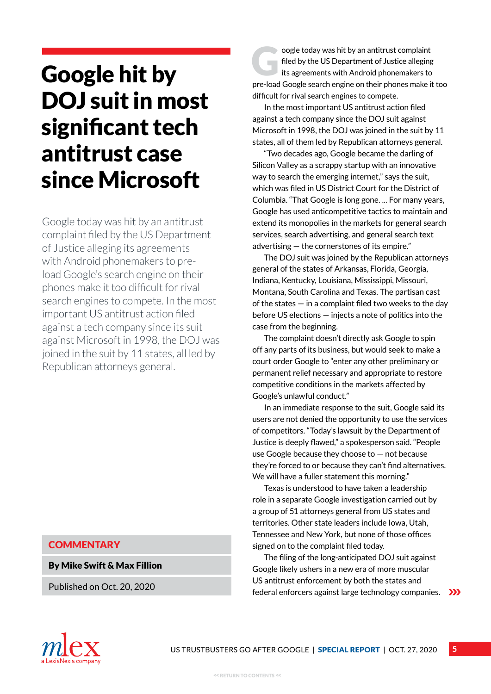## <span id="page-4-0"></span>Google hit by DOJ suit in most significant tech antitrust case since Microsoft

Google today was hit by an antitrust complaint filed by the US Department of Justice alleging its agreements with Android phonemakers to preload Google's search engine on their phones make it too difficult for rival search engines to compete. In the most important US antitrust action filed against a tech company since its suit against Microsoft in 1998, the DOJ was joined in the suit by 11 states, all led by Republican attorneys general.

### **COMMENTARY**

By Mike Swift & Max Fillion

Published on Oct. 20, 2020

oogle today was hit by an antitrust complaint filed by the US Department of Justice alleging its agreements with Android phonemakers to pre-load Google search engine on their phones make it too difficult for rival search engines to compete.

In the most important US antitrust action filed against a tech company since the DOJ suit against Microsoft in 1998, the DOJ was joined in the suit by 11 states, all of them led by Republican attorneys general.

"Two decades ago, Google became the darling of Silicon Valley as a scrappy startup with an innovative way to search the emerging internet," says the suit, which was filed in US District Court for the District of Columbia. "That Google is long gone. ... For many years, Google has used anticompetitive tactics to maintain and extend its monopolies in the markets for general search services, search advertising, and general search text advertising — the cornerstones of its empire."

The DOJ suit was joined by the Republican attorneys general of the states of Arkansas, Florida, Georgia, Indiana, Kentucky, Louisiana, Mississippi, Missouri, Montana, South Carolina and Texas. The partisan cast of the states — in a complaint filed two weeks to the day before US elections — injects a note of politics into the case from the beginning.

The complaint doesn't directly ask Google to spin off any parts of its business, but would seek to make a court order Google to "enter any other preliminary or permanent relief necessary and appropriate to restore competitive conditions in the markets affected by Google's unlawful conduct."

In an immediate response to the suit, Google said its users are not denied the opportunity to use the services of competitors. "Today's lawsuit by the Department of Justice is deeply flawed," a spokesperson said. "People use Google because they choose to — not because they're forced to or because they can't find alternatives. We will have a fuller statement this morning."

Texas is understood to have taken a leadership role in a separate Google investigation carried out by a group of 51 attorneys general from US states and territories. Other state leaders include Iowa, Utah, Tennessee and New York, but none of those offices signed on to the complaint filed today.

The filing of the long-anticipated DOJ suit against Google likely ushers in a new era of more muscular US antitrust enforcement by both the states and federal enforcers against large technology companies.  $\sum$ 

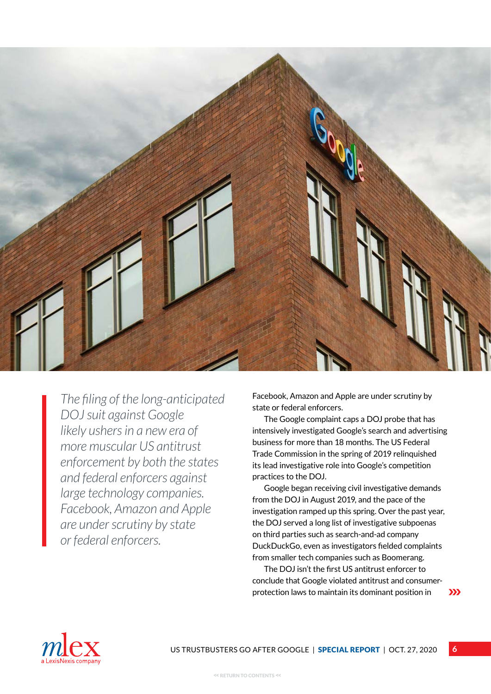

*The filing of the long-anticipated DOJ suit against Google likely ushers in a new era of more muscular US antitrust enforcement by both the states and federal enforcers against large technology companies. Facebook, Amazon and Apple are under scrutiny by state or federal enforcers.*

Facebook, Amazon and Apple are under scrutiny by state or federal enforcers.

The Google complaint caps a DOJ probe that has intensively investigated Google's search and advertising business for more than 18 months. The US Federal Trade Commission in the spring of 2019 relinquished its lead investigative role into Google's competition practices to the DOJ.

Google began receiving civil investigative demands from the DOJ in August 2019, and the pace of the investigation ramped up this spring. Over the past year, the DOJ served a long list of investigative subpoenas on third parties such as search-and-ad company DuckDuckGo, even as investigators fielded complaints from smaller tech companies such as Boomerang.

The DOJ isn't the first US antitrust enforcer to conclude that Google violated antitrust and consumerprotection laws to maintain its dominant position in

**6**

 $\sum$ 

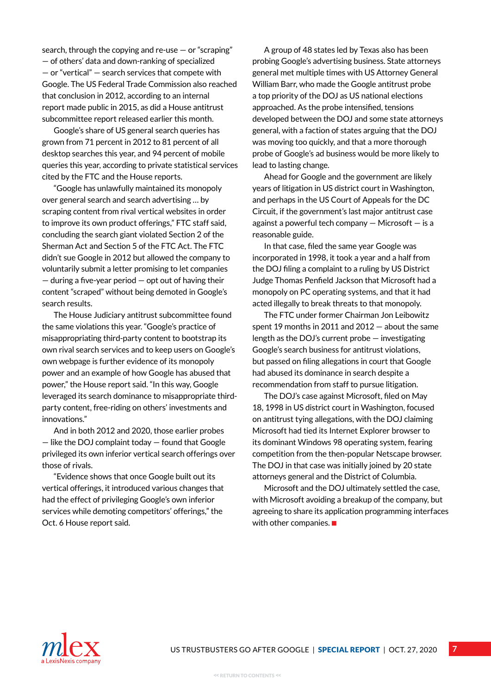search, through the copying and re-use — or "scraping" — of others' data and down-ranking of specialized — or "vertical" — search services that compete with Google. The US Federal Trade Commission also reached that conclusion in 2012, according to an internal report made public in 2015, as did a House antitrust subcommittee report released earlier this month.

Google's share of US general search queries has grown from 71 percent in 2012 to 81 percent of all desktop searches this year, and 94 percent of mobile queries this year, according to private statistical services cited by the FTC and the House reports.

"Google has unlawfully maintained its monopoly over general search and search advertising … by scraping content from rival vertical websites in order to improve its own product offerings," FTC staff said, concluding the search giant violated Section 2 of the Sherman Act and Section 5 of the FTC Act. The FTC didn't sue Google in 2012 but allowed the company to voluntarily submit a letter promising to let companies — during a five-year period — opt out of having their content "scraped" without being demoted in Google's search results.

The House Judiciary antitrust subcommittee found the same violations this year. "Google's practice of misappropriating third-party content to bootstrap its own rival search services and to keep users on Google's own webpage is further evidence of its monopoly power and an example of how Google has abused that power," the House report said. "In this way, Google leveraged its search dominance to misappropriate thirdparty content, free-riding on others' investments and innovations."

And in both 2012 and 2020, those earlier probes — like the DOJ complaint today — found that Google privileged its own inferior vertical search offerings over those of rivals.

"Evidence shows that once Google built out its vertical offerings, it introduced various changes that had the effect of privileging Google's own inferior services while demoting competitors' offerings," the Oct. 6 House report said.

A group of 48 states led by Texas also has been probing Google's advertising business. State attorneys general met multiple times with US Attorney General William Barr, who made the Google antitrust probe a top priority of the DOJ as US national elections approached. As the probe intensified, tensions developed between the DOJ and some state attorneys general, with a faction of states arguing that the DOJ was moving too quickly, and that a more thorough probe of Google's ad business would be more likely to lead to lasting change.

Ahead for Google and the government are likely years of litigation in US district court in Washington, and perhaps in the US Court of Appeals for the DC Circuit, if the government's last major antitrust case against a powerful tech company — Microsoft — is a reasonable guide.

In that case, filed the same year Google was incorporated in 1998, it took a year and a half from the DOJ filing a complaint to a ruling by US District Judge Thomas Penfield Jackson that Microsoft had a monopoly on PC operating systems, and that it had acted illegally to break threats to that monopoly.

The FTC under former Chairman Jon Leibowitz spent 19 months in 2011 and 2012 — about the same length as the DOJ's current probe — investigating Google's search business for antitrust violations, but passed on filing allegations in court that Google had abused its dominance in search despite a recommendation from staff to pursue litigation.

The DOJ's case against Microsoft, filed on May 18, 1998 in US district court in Washington, focused on antitrust tying allegations, with the DOJ claiming Microsoft had tied its Internet Explorer browser to its dominant Windows 98 operating system, fearing competition from the then-popular Netscape browser. The DOJ in that case was initially joined by 20 state attorneys general and the District of Columbia.

Microsoft and the DOJ ultimately settled the case, with Microsoft avoiding a breakup of the company, but agreeing to share its application programming interfaces with other companies.  $\blacksquare$ 

**7**

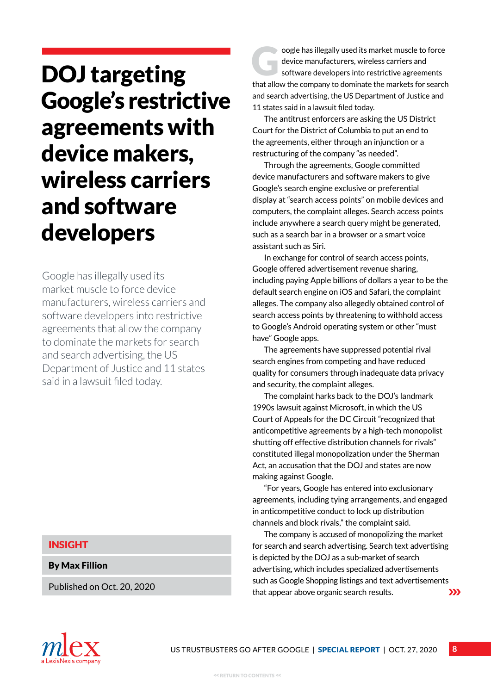## <span id="page-7-0"></span>DOJ targeting Google's restrictive agreements with device makers, wireless carriers and software developers

Google has illegally used its market muscle to force device manufacturers, wireless carriers and software developers into restrictive agreements that allow the company to dominate the markets for search and search advertising, the US Department of Justice and 11 states said in a lawsuit filed today.

### INSIGHT

By Max Fillion

Published on Oct. 20, 2020

oogle has illegally used its market muscle to force device manufacturers, wireless carriers and software developers into restrictive agreements that allow the company to dominate the markets for search and search advertising, the US Department of Justice and 11 states said in a lawsuit filed today.

The antitrust enforcers are asking the US District Court for the District of Columbia to put an end to the agreements, either through an injunction or a restructuring of the company "as needed".

Through the agreements, Google committed device manufacturers and software makers to give Google's search engine exclusive or preferential display at "search access points" on mobile devices and computers, the complaint alleges. Search access points include anywhere a search query might be generated, such as a search bar in a browser or a smart voice assistant such as Siri.

In exchange for control of search access points, Google offered advertisement revenue sharing, including paying Apple billions of dollars a year to be the default search engine on iOS and Safari, the complaint alleges. The company also allegedly obtained control of search access points by threatening to withhold access to Google's Android operating system or other "must have" Google apps.

The agreements have suppressed potential rival search engines from competing and have reduced quality for consumers through inadequate data privacy and security, the complaint alleges.

The complaint harks back to the DOJ's landmark 1990s lawsuit against Microsoft, in which the US Court of Appeals for the DC Circuit "recognized that anticompetitive agreements by a high-tech monopolist shutting off effective distribution channels for rivals" constituted illegal monopolization under the Sherman Act, an accusation that the DOJ and states are now making against Google.

"For years, Google has entered into exclusionary agreements, including tying arrangements, and engaged in anticompetitive conduct to lock up distribution channels and block rivals," the complaint said.

The company is accused of monopolizing the market for search and search advertising. Search text advertising is depicted by the DOJ as a sub-market of search advertising, which includes specialized advertisements such as Google Shopping listings and text advertisements that appear above organic search results.  $\sum$ 

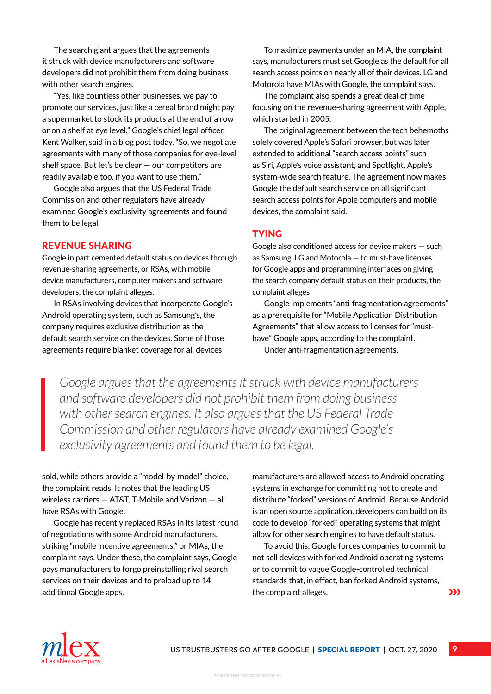The search giant argues that the agreements it struck with device manufacturers and software developers did not prohibit them from doing business with other search engines.

"Yes, like countless other businesses, we pay to promote our services, just like a cereal brand might pay a supermarket to stock its products at the end of a row or on a shelf at eye level," Google's chief legal officer, Kent Walker, said in a blog post today. "So, we negotiate agreements with many of those companies for eye-level shelf space. But let's be clear — our competitors are readily available too, if you want to use them."

Google also argues that the US Federal Trade Commission and other regulators have already examined Google's exclusivity agreements and found them to be legal.

### Revenue sharing

Google in part cemented default status on devices through revenue-sharing agreements, or RSAs, with mobile device manufacturers, computer makers and software developers, the complaint alleges.

In RSAs involving devices that incorporate Google's Android operating system, such as Samsung's, the company requires exclusive distribution as the default search service on the devices. Some of those agreements require blanket coverage for all devices

To maximize payments under an MIA, the complaint says, manufacturers must set Google as the default for all search access points on nearly all of their devices. LG and Motorola have MIAs with Google, the complaint says.

The complaint also spends a great deal of time focusing on the revenue-sharing agreement with Apple, which started in 2005.

The original agreement between the tech behemoths solely covered Apple's Safari browser, but was later extended to additional "search access points" such as Siri, Apple's voice assistant, and Spotlight, Apple's system-wide search feature. The agreement now makes Google the default search service on all significant search access points for Apple computers and mobile devices, the complaint said.

### **TYING**

Google also conditioned access for device makers — such as Samsung, LG and Motorola — to must-have licenses for Google apps and programming interfaces on giving the search company default status on their products, the complaint alleges

Google implements "anti-fragmentation agreements" as a prerequisite for "Mobile Application Distribution Agreements" that allow access to licenses for "musthave" Google apps, according to the complaint. Under anti-fragmentation agreements,

*Google argues that the agreements it struck with device manufacturers and software developers did not prohibit them from doing business with other search engines. It also argues that the US Federal Trade Commission and other regulators have already examined Google's exclusivity agreements and found them to be legal.*

sold, while others provide a "model-by-model" choice, the complaint reads. It notes that the leading US wireless carriers — AT&T, T-Mobile and Verizon — all have RSAs with Google.

Google has recently replaced RSAs in its latest round of negotiations with some Android manufacturers, striking "mobile incentive agreements," or MIAs, the complaint says. Under these, the complaint says, Google pays manufacturers to forgo preinstalling rival search services on their devices and to preload up to 14 additional Google apps.

manufacturers are allowed access to Android operating systems in exchange for committing not to create and distribute "forked" versions of Android. Because Android is an open source application, developers can build on its code to develop "forked" operating systems that might allow for other search engines to have default status.

To avoid this, Google forces companies to commit to not sell devices with forked Android operating systems or to commit to vague Google-controlled technical standards that, in effect, ban forked Android systems, the complaint alleges.  $\sum$ 

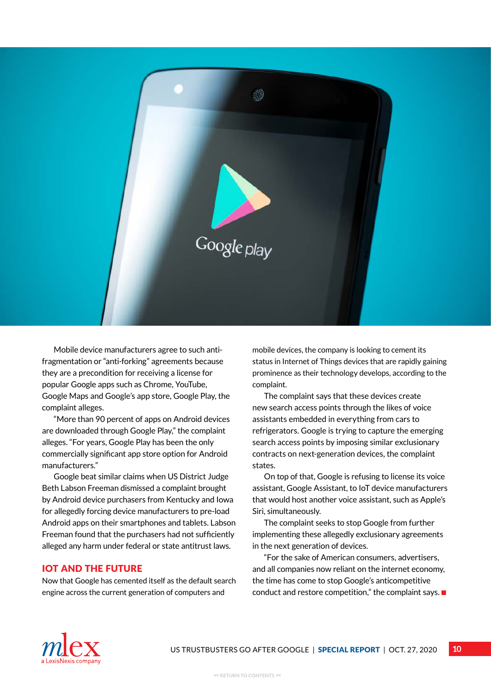

Mobile device manufacturers agree to such antifragmentation or "anti-forking" agreements because they are a precondition for receiving a license for popular Google apps such as Chrome, YouTube, Google Maps and Google's app store, Google Play, the complaint alleges.

"More than 90 percent of apps on Android devices are downloaded through Google Play," the complaint alleges. "For years, Google Play has been the only commercially significant app store option for Android manufacturers."

Google beat similar claims when US District Judge Beth Labson Freeman dismissed a complaint brought by Android device purchasers from Kentucky and Iowa for allegedly forcing device manufacturers to pre-load Android apps on their smartphones and tablets. Labson Freeman found that the purchasers had not sufficiently alleged any harm under federal or state antitrust laws.

### IoT and the future

Now that Google has cemented itself as the default search engine across the current generation of computers and

mobile devices, the company is looking to cement its status in Internet of Things devices that are rapidly gaining prominence as their technology develops, according to the complaint.

The complaint says that these devices create new search access points through the likes of voice assistants embedded in everything from cars to refrigerators. Google is trying to capture the emerging search access points by imposing similar exclusionary contracts on next-generation devices, the complaint states.

On top of that, Google is refusing to license its voice assistant, Google Assistant, to IoT device manufacturers that would host another voice assistant, such as Apple's Siri, simultaneously.

The complaint seeks to stop Google from further implementing these allegedly exclusionary agreements in the next generation of devices.

"For the sake of American consumers, advertisers, and all companies now reliant on the internet economy, the time has come to stop Google's anticompetitive conduct and restore competition," the complaint says.  $\blacksquare$ 

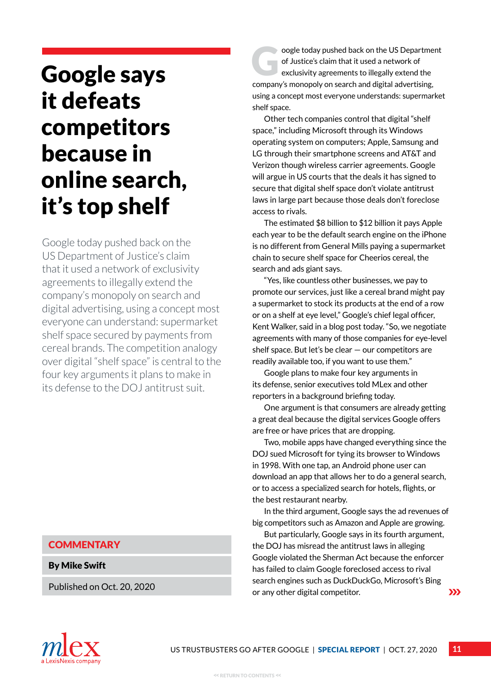## <span id="page-10-0"></span>Google says it defeats competitors because in online search, it's top shelf

Google today pushed back on the US Department of Justice's claim that it used a network of exclusivity agreements to illegally extend the company's monopoly on search and digital advertising, using a concept most everyone can understand: supermarket shelf space secured by payments from cereal brands. The competition analogy over digital "shelf space" is central to the four key arguments it plans to make in its defense to the DOJ antitrust suit.

### **COMMENTARY**

By Mike Swift

Published on Oct. 20, 2020

oogle today pushed back on the US Department of Justice's claim that it used a network of exclusivity agreements to illegally extend the company's monopoly on search and digital advertising, using a concept most everyone understands: supermarket shelf space.

Other tech companies control that digital "shelf space," including Microsoft through its Windows operating system on computers; Apple, Samsung and LG through their smartphone screens and AT&T and Verizon though wireless carrier agreements. Google will argue in US courts that the deals it has signed to secure that digital shelf space don't violate antitrust laws in large part because those deals don't foreclose access to rivals.

The estimated \$8 billion to \$12 billion it pays Apple each year to be the default search engine on the iPhone is no different from General Mills paying a supermarket chain to secure shelf space for Cheerios cereal, the search and ads giant says.

"Yes, like countless other businesses, we pay to promote our services, just like a cereal brand might pay a supermarket to stock its products at the end of a row or on a shelf at eye level," Google's chief legal officer, Kent Walker, said in a blog post today. "So, we negotiate agreements with many of those companies for eye-level shelf space. But let's be clear — our competitors are readily available too, if you want to use them."

Google plans to make four key arguments in its defense, senior executives told MLex and other reporters in a background briefing today.

One argument is that consumers are already getting a great deal because the digital services Google offers are free or have prices that are dropping.

Two, mobile apps have changed everything since the DOJ sued Microsoft for tying its browser to Windows in 1998. With one tap, an Android phone user can download an app that allows her to do a general search, or to access a specialized search for hotels, flights, or the best restaurant nearby.

In the third argument, Google says the ad revenues of big competitors such as Amazon and Apple are growing.

But particularly, Google says in its fourth argument, the DOJ has misread the antitrust laws in alleging Google violated the Sherman Act because the enforcer has failed to claim Google foreclosed access to rival search engines such as DuckDuckGo, Microsoft's Bing or any other digital competitor.  $\sum$ 

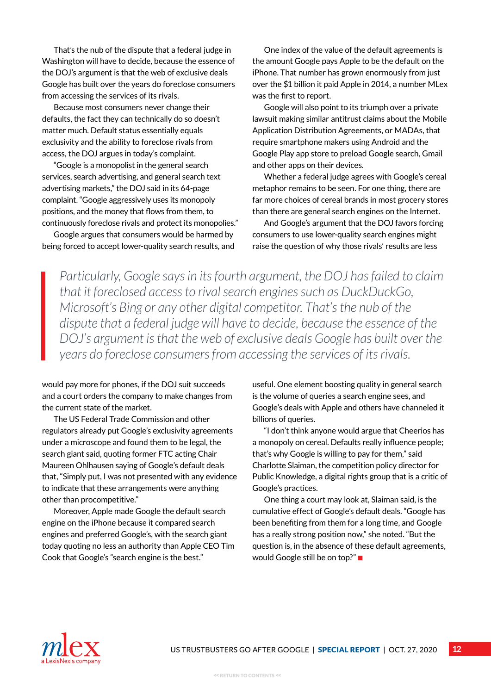That's the nub of the dispute that a federal judge in Washington will have to decide, because the essence of the DOJ's argument is that the web of exclusive deals Google has built over the years do foreclose consumers from accessing the services of its rivals.

Because most consumers never change their defaults, the fact they can technically do so doesn't matter much. Default status essentially equals exclusivity and the ability to foreclose rivals from access, the DOJ argues in today's complaint.

"Google is a monopolist in the general search services, search advertising, and general search text advertising markets," the DOJ said in its 64-page complaint. "Google aggressively uses its monopoly positions, and the money that flows from them, to continuously foreclose rivals and protect its monopolies."

Google argues that consumers would be harmed by being forced to accept lower-quality search results, and

One index of the value of the default agreements is the amount Google pays Apple to be the default on the iPhone. That number has grown enormously from just over the \$1 billion it paid Apple in 2014, a number MLex was the first to report.

Google will also point to its triumph over a private lawsuit making similar antitrust claims about the Mobile Application Distribution Agreements, or MADAs, that require smartphone makers using Android and the Google Play app store to preload Google search, Gmail and other apps on their devices.

Whether a federal judge agrees with Google's cereal metaphor remains to be seen. For one thing, there are far more choices of cereal brands in most grocery stores than there are general search engines on the Internet.

And Google's argument that the DOJ favors forcing consumers to use lower-quality search engines might raise the question of why those rivals' results are less

*Particularly, Google says in its fourth argument, the DOJ has failed to claim that it foreclosed access to rival search engines such as DuckDuckGo, Microsoft's Bing or any other digital competitor. That's the nub of the dispute that a federal judge will have to decide, because the essence of the DOJ's argument is that the web of exclusive deals Google has built over the years do foreclose consumers from accessing the services of its rivals.*

would pay more for phones, if the DOJ suit succeeds and a court orders the company to make changes from the current state of the market.

The US Federal Trade Commission and other regulators already put Google's exclusivity agreements under a microscope and found them to be legal, the search giant said, quoting former FTC acting Chair Maureen Ohlhausen saying of Google's default deals that, "Simply put, I was not presented with any evidence to indicate that these arrangements were anything other than procompetitive."

Moreover, Apple made Google the default search engine on the iPhone because it compared search engines and preferred Google's, with the search giant today quoting no less an authority than Apple CEO Tim Cook that Google's "search engine is the best."

useful. One element boosting quality in general search is the volume of queries a search engine sees, and Google's deals with Apple and others have channeled it billions of queries.

"I don't think anyone would argue that Cheerios has a monopoly on cereal. Defaults really influence people; that's why Google is willing to pay for them," said Charlotte Slaiman, the competition policy director for Public Knowledge, a digital rights group that is a critic of Google's practices.

One thing a court may look at, Slaiman said, is the cumulative effect of Google's default deals. "Google has been benefiting from them for a long time, and Google has a really strong position now," she noted. "But the question is, in the absence of these default agreements, would Google still be on top?" ■

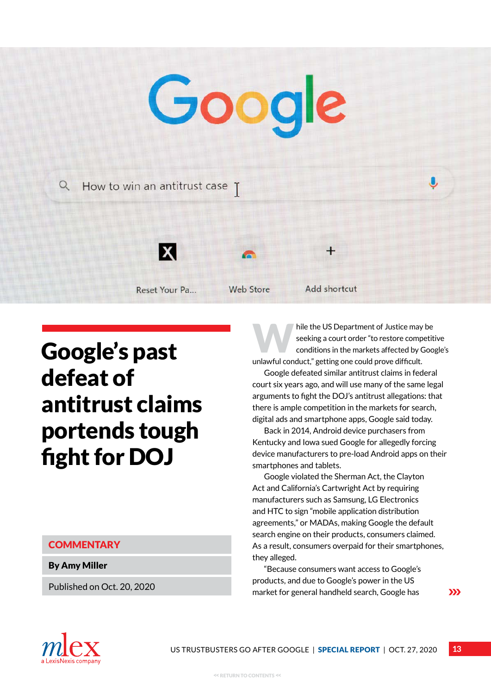# <span id="page-12-0"></span>Google  $Q$  How to win an antitrust case  $\gamma$



Reset Your Pa...

**Web Store** 

Add shortcut

 $\div$ 

## Google's past defeat of antitrust claims portends tough fight for DOJ

### **COMMENTARY**

By Amy Miller

Published on Oct. 20, 2020

hile the US Department of Justice may be<br>seeking a court order "to restore competit<br>conditions in the markets affected by Goo seeking a court order "to restore competitive conditions in the markets affected by Google's unlawful conduct," getting one could prove difficult.

Google defeated similar antitrust claims in federal court six years ago, and will use many of the same legal arguments to fight the DOJ's antitrust allegations: that there is ample competition in the markets for search, digital ads and smartphone apps, Google said today.

Back in 2014, Android device purchasers from Kentucky and Iowa sued Google for allegedly forcing device manufacturers to pre-load Android apps on their smartphones and tablets.

Google violated the Sherman Act, the Clayton Act and California's Cartwright Act by requiring manufacturers such as Samsung, LG Electronics and HTC to sign "mobile application distribution agreements," or MADAs, making Google the default search engine on their products, consumers claimed. As a result, consumers overpaid for their smartphones, they alleged.

"Because consumers want access to Google's products, and due to Google's power in the US market for general handheld search, Google has

 $\sum$ 

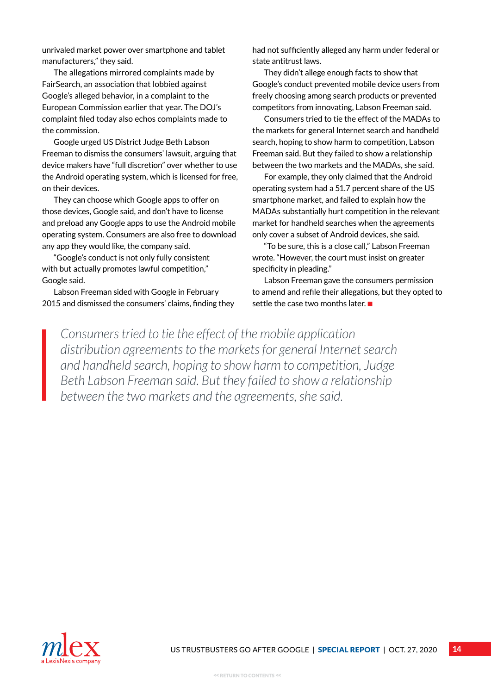unrivaled market power over smartphone and tablet manufacturers," they said.

The allegations mirrored complaints made by FairSearch, an association that lobbied against Google's alleged behavior, in a complaint to the European Commission earlier that year. The DOJ's complaint filed today also echos complaints made to the commission.

Google urged US District Judge Beth Labson Freeman to dismiss the consumers' lawsuit, arguing that device makers have "full discretion" over whether to use the Android operating system, which is licensed for free, on their devices.

They can choose which Google apps to offer on those devices, Google said, and don't have to license and preload any Google apps to use the Android mobile operating system. Consumers are also free to download any app they would like, the company said.

"Google's conduct is not only fully consistent with but actually promotes lawful competition," Google said.

Labson Freeman sided with Google in February 2015 and dismissed the consumers' claims, finding they had not sufficiently alleged any harm under federal or state antitrust laws.

They didn't allege enough facts to show that Google's conduct prevented mobile device users from freely choosing among search products or prevented competitors from innovating, Labson Freeman said.

Consumers tried to tie the effect of the MADAs to the markets for general Internet search and handheld search, hoping to show harm to competition, Labson Freeman said. But they failed to show a relationship between the two markets and the MADAs, she said.

For example, they only claimed that the Android operating system had a 51.7 percent share of the US smartphone market, and failed to explain how the MADAs substantially hurt competition in the relevant market for handheld searches when the agreements only cover a subset of Android devices, she said.

"To be sure, this is a close call," Labson Freeman wrote. "However, the court must insist on greater specificity in pleading."

Labson Freeman gave the consumers permission to amend and refile their allegations, but they opted to settle the case two months later.  $\blacksquare$ 

*Consumers tried to tie the effect of the mobile application distribution agreements to the markets for general Internet search and handheld search, hoping to show harm to competition, Judge Beth Labson Freeman said. But they failed to show a relationship between the two markets and the agreements, she said.*

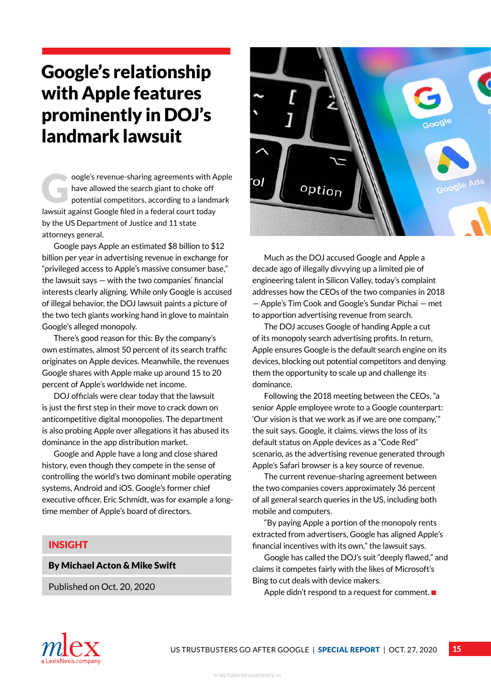## <span id="page-14-0"></span>Google's relationship with Apple features prominently in DOJ's landmark lawsuit

oogle's revenue-sharing agreements with Apple<br>have allowed the search giant to choke off<br>potential competitors, according to a landmark have allowed the search giant to choke off lawsuit against Google filed in a federal court today by the US Department of Justice and 11 state attorneys general.

Google pays Apple an estimated \$8 billion to \$12 billion per year in advertising revenue in exchange for "privileged access to Apple's massive consumer base," the lawsuit says — with the two companies' financial interests clearly aligning. While only Google is accused of illegal behavior, the DOJ lawsuit paints a picture of the two tech giants working hand in glove to maintain Google's alleged monopoly.

There's good reason for this: By the company's own estimates, almost 50 percent of its search traffic originates on Apple devices. Meanwhile, the revenues Google shares with Apple make up around 15 to 20 percent of Apple's worldwide net income.

DOJ officials were clear today that the lawsuit is just the first step in their move to crack down on anticompetitive digital monopolies. The department is also probing Apple over allegations it has abused its dominance in the app distribution market.

Google and Apple have a long and close shared history, even though they compete in the sense of controlling the world's two dominant mobile operating systems, Android and iOS. Google's former chief executive officer, Eric Schmidt, was for example a longtime member of Apple's board of directors.

### INSIGHT

By Michael Acton & Mike Swift

Published on Oct. 20, 2020



Much as the DOJ accused Google and Apple a decade ago of illegally divvying up a limited pie of engineering talent in Silicon Valley, today's complaint addresses how the CEOs of the two companies in 2018 — Apple's Tim Cook and Google's Sundar Pichai — met to apportion advertising revenue from search.

The DOJ accuses Google of handing Apple a cut of its monopoly search advertising profits. In return, Apple ensures Google is the default search engine on its devices, blocking out potential competitors and denying them the opportunity to scale up and challenge its dominance.

Following the 2018 meeting between the CEOs, "a senior Apple employee wrote to a Google counterpart: 'Our vision is that we work as if we are one company,'" the suit says. Google, it claims, views the loss of its default status on Apple devices as a "Code Red" scenario, as the advertising revenue generated through Apple's Safari browser is a key source of revenue.

The current revenue-sharing agreement between the two companies covers approximately 36 percent of all general search queries in the US, including both mobile and computers.

"By paying Apple a portion of the monopoly rents extracted from advertisers, Google has aligned Apple's financial incentives with its own," the lawsuit says.

Google has called the DOJ's suit "deeply flawed," and claims it competes fairly with the likes of Microsoft's Bing to cut deals with device makers.

Apple didn't respond to a request for comment.  $\blacksquare$ 

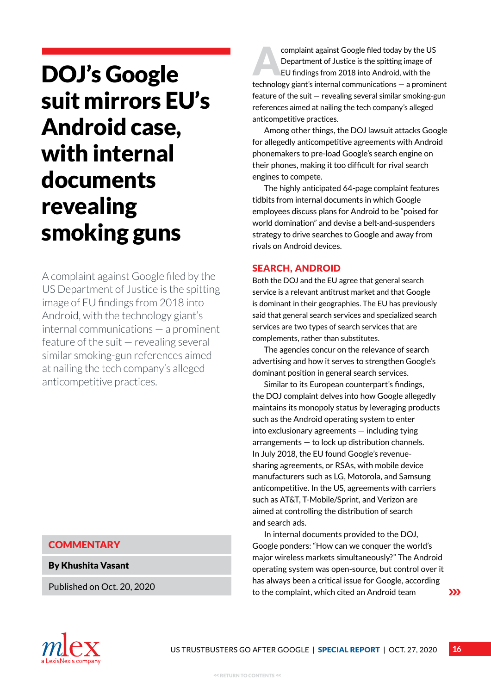## <span id="page-15-0"></span>DOJ's Google suit mirrors EU's Android case, with internal documents revealing smoking guns

A complaint against Google filed by the US Department of Justice is the spitting image of EU findings from 2018 into Android, with the technology giant's internal communications — a prominent feature of the suit — revealing several similar smoking-gun references aimed at nailing the tech company's alleged anticompetitive practices.

### **COMMENTARY**

By Khushita Vasant

Published on Oct. 20, 2020

EU findings from 2018 into Android, with the US<br>
EU findings from 2018 into Android, with the Department of Justice is the spitting image of technology giant's internal communications — a prominent feature of the suit — revealing several similar smoking-gun references aimed at nailing the tech company's alleged anticompetitive practices.

Among other things, the DOJ lawsuit attacks Google for allegedly anticompetitive agreements with Android phonemakers to pre-load Google's search engine on their phones, making it too difficult for rival search engines to compete.

The highly anticipated 64-page complaint features tidbits from internal documents in which Google employees discuss plans for Android to be "poised for world domination" and devise a belt-and-suspenders strategy to drive searches to Google and away from rivals on Android devices.

### **SEARCH, ANDROID**

Both the DOJ and the EU agree that general search service is a relevant antitrust market and that Google is dominant in their geographies. The EU has previously said that general search services and specialized search services are two types of search services that are complements, rather than substitutes.

The agencies concur on the relevance of search advertising and how it serves to strengthen Google's dominant position in general search services.

Similar to its European counterpart's findings, the DOJ complaint delves into how Google allegedly maintains its monopoly status by leveraging products such as the Android operating system to enter into exclusionary agreements — including tying arrangements — to lock up distribution channels. In July 2018, the EU found Google's revenuesharing agreements, or RSAs, with mobile device manufacturers such as LG, Motorola, and Samsung anticompetitive. In the US, agreements with carriers such as AT&T, T-Mobile/Sprint, and Verizon are aimed at controlling the distribution of search and search ads.

In internal documents provided to the DOJ, Google ponders: "How can we conquer the world's major wireless markets simultaneously?" The Android operating system was open-source, but control over it has always been a critical issue for Google, according to the complaint, which cited an Android team

 $\sum$ 

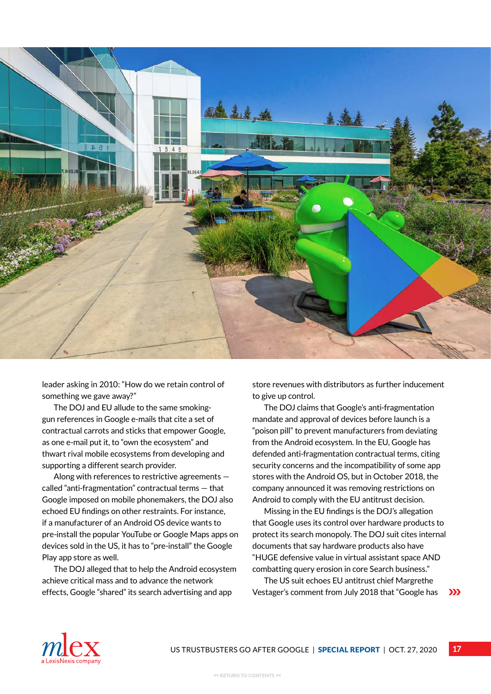

leader asking in 2010: "How do we retain control of something we gave away?"

The DOJ and EU allude to the same smokinggun references in Google e-mails that cite a set of contractual carrots and sticks that empower Google, as one e-mail put it, to "own the ecosystem" and thwart rival mobile ecosystems from developing and supporting a different search provider.

Along with references to restrictive agreements called "anti-fragmentation" contractual terms — that Google imposed on mobile phonemakers, the DOJ also echoed EU findings on other restraints. For instance, if a manufacturer of an Android OS device wants to pre-install the popular YouTube or Google Maps apps on devices sold in the US, it has to "pre-install" the Google Play app store as well.

The DOJ alleged that to help the Android ecosystem achieve critical mass and to advance the network effects, Google "shared" its search advertising and app

store revenues with distributors as further inducement to give up control.

The DOJ claims that Google's anti-fragmentation mandate and approval of devices before launch is a "poison pill" to prevent manufacturers from deviating from the Android ecosystem. In the EU, Google has defended anti-fragmentation contractual terms, citing security concerns and the incompatibility of some app stores with the Android OS, but in October 2018, the company announced it was removing restrictions on Android to comply with the EU antitrust decision.

Missing in the EU findings is the DOJ's allegation that Google uses its control over hardware products to protect its search monopoly. The DOJ suit cites internal documents that say hardware products also have "HUGE defensive value in virtual assistant space AND combatting query erosion in core Search business."

The US suit echoes EU antitrust chief Margrethe Vestager's comment from July 2018 that "Google has  $\sum$ 

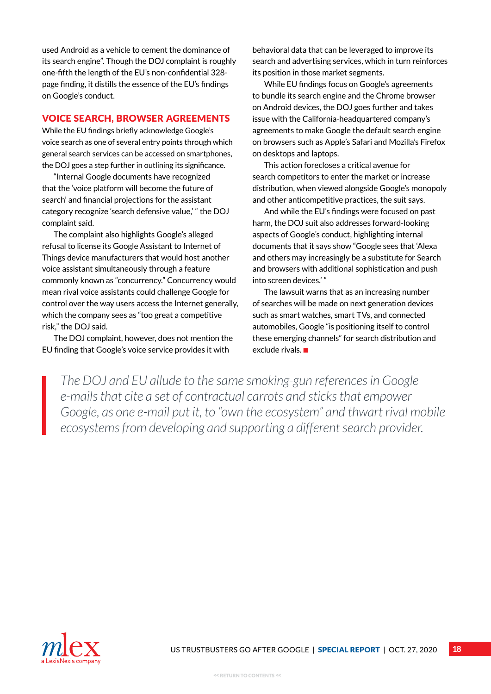used Android as a vehicle to cement the dominance of its search engine". Though the DOJ complaint is roughly one-fifth the length of the EU's non-confidential 328 page finding, it distills the essence of the EU's findings on Google's conduct.

### Voice search, browser agreements

While the EU findings briefly acknowledge Google's voice search as one of several entry points through which general search services can be accessed on smartphones, the DOJ goes a step further in outlining its significance.

"Internal Google documents have recognized that the 'voice platform will become the future of search' and financial projections for the assistant category recognize 'search defensive value,' " the DOJ complaint said.

The complaint also highlights Google's alleged refusal to license its Google Assistant to Internet of Things device manufacturers that would host another voice assistant simultaneously through a feature commonly known as "concurrency." Concurrency would mean rival voice assistants could challenge Google for control over the way users access the Internet generally, which the company sees as "too great a competitive risk," the DOJ said.

The DOJ complaint, however, does not mention the EU finding that Google's voice service provides it with

behavioral data that can be leveraged to improve its search and advertising services, which in turn reinforces its position in those market segments.

While EU findings focus on Google's agreements to bundle its search engine and the Chrome browser on Android devices, the DOJ goes further and takes issue with the California-headquartered company's agreements to make Google the default search engine on browsers such as Apple's Safari and Mozilla's Firefox on desktops and laptops.

This action forecloses a critical avenue for search competitors to enter the market or increase distribution, when viewed alongside Google's monopoly and other anticompetitive practices, the suit says.

And while the EU's findings were focused on past harm, the DOJ suit also addresses forward-looking aspects of Google's conduct, highlighting internal documents that it says show "Google sees that 'Alexa and others may increasingly be a substitute for Search and browsers with additional sophistication and push into screen devices.' "

The lawsuit warns that as an increasing number of searches will be made on next generation devices such as smart watches, smart TVs, and connected automobiles, Google "is positioning itself to control these emerging channels" for search distribution and exclude rivals.  $\blacksquare$ 

*The DOJ and EU allude to the same smoking-gun references in Google e-mails that cite a set of contractual carrots and sticks that empower Google, as one e-mail put it, to "own the ecosystem" and thwart rival mobile ecosystems from developing and supporting a different search provider.*

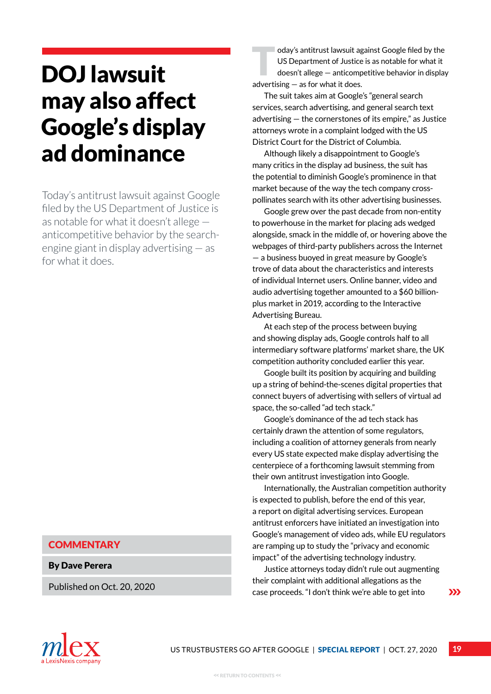## <span id="page-18-0"></span>DOJ lawsuit may also affect Google's display ad dominance

Today's antitrust lawsuit against Google filed by the US Department of Justice is as notable for what it doesn't allege anticompetitive behavior by the searchengine giant in display advertising — as for what it does.

### **COMMENTARY**

By Dave Perera

Published on Oct. 20, 2020

oday's antitrust lawsuit against Google filed by the US Department of Justice is as notable for what it doesn't allege — anticompetitive behavior in display advertising — as for what it does.

The suit takes aim at Google's "general search services, search advertising, and general search text advertising — the cornerstones of its empire," as Justice attorneys wrote in a complaint lodged with the US District Court for the District of Columbia.

Although likely a disappointment to Google's many critics in the display ad business, the suit has the potential to diminish Google's prominence in that market because of the way the tech company crosspollinates search with its other advertising businesses.

Google grew over the past decade from non-entity to powerhouse in the market for placing ads wedged alongside, smack in the middle of, or hovering above the webpages of third-party publishers across the Internet — a business buoyed in great measure by Google's trove of data about the characteristics and interests of individual Internet users. Online banner, video and audio advertising together amounted to a \$60 billionplus market in 2019, according to the Interactive Advertising Bureau.

At each step of the process between buying and showing display ads, Google controls half to all intermediary software platforms' market share, the UK competition authority concluded earlier this year.

Google built its position by acquiring and building up a string of behind-the-scenes digital properties that connect buyers of advertising with sellers of virtual ad space, the so-called "ad tech stack."

Google's dominance of the ad tech stack has certainly drawn the attention of some regulators, including a coalition of attorney generals from nearly every US state expected make display advertising the centerpiece of a forthcoming lawsuit stemming from their own antitrust investigation into Google.

Internationally, the Australian competition authority is expected to publish, before the end of this year, a report on digital advertising services. European antitrust enforcers have initiated an investigation into Google's management of video ads, while EU regulators are ramping up to study the "privacy and economic impact" of the advertising technology industry.

Justice attorneys today didn't rule out augmenting their complaint with additional allegations as the case proceeds. "I don't think we're able to get into

 $\sum$ 

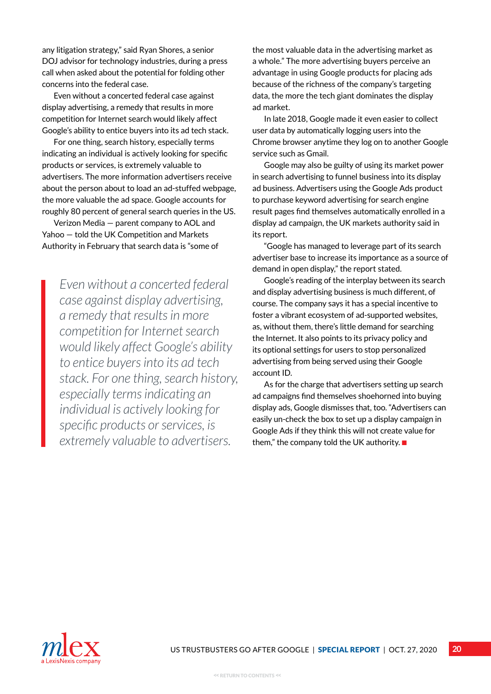any litigation strategy," said Ryan Shores, a senior DOJ advisor for technology industries, during a press call when asked about the potential for folding other concerns into the federal case.

Even without a concerted federal case against display advertising, a remedy that results in more competition for Internet search would likely affect Google's ability to entice buyers into its ad tech stack.

For one thing, search history, especially terms indicating an individual is actively looking for specific products or services, is extremely valuable to advertisers. The more information advertisers receive about the person about to load an ad-stuffed webpage, the more valuable the ad space. Google accounts for roughly 80 percent of general search queries in the US.

Verizon Media — parent company to AOL and Yahoo — told the UK Competition and Markets Authority in February that search data is "some of

*Even without a concerted federal case against display advertising, a remedy that results in more competition for Internet search would likely affect Google's ability to entice buyers into its ad tech stack. For one thing, search history, especially terms indicating an individual is actively looking for specific products or services, is extremely valuable to advertisers.* 

the most valuable data in the advertising market as a whole." The more advertising buyers perceive an advantage in using Google products for placing ads because of the richness of the company's targeting data, the more the tech giant dominates the display ad market.

In late 2018, Google made it even easier to collect user data by automatically logging users into the Chrome browser anytime they log on to another Google service such as Gmail.

Google may also be guilty of using its market power in search advertising to funnel business into its display ad business. Advertisers using the Google Ads product to purchase keyword advertising for search engine result pages find themselves automatically enrolled in a display ad campaign, the UK markets authority said in its report.

"Google has managed to leverage part of its search advertiser base to increase its importance as a source of demand in open display," the report stated.

Google's reading of the interplay between its search and display advertising business is much different, of course. The company says it has a special incentive to foster a vibrant ecosystem of ad-supported websites, as, without them, there's little demand for searching the Internet. It also points to its privacy policy and its optional settings for users to stop personalized advertising from being served using their Google account ID.

As for the charge that advertisers setting up search ad campaigns find themselves shoehorned into buying display ads, Google dismisses that, too. "Advertisers can easily un-check the box to set up a display campaign in Google Ads if they think this will not create value for them," the company told the UK authority.  $\blacksquare$ 

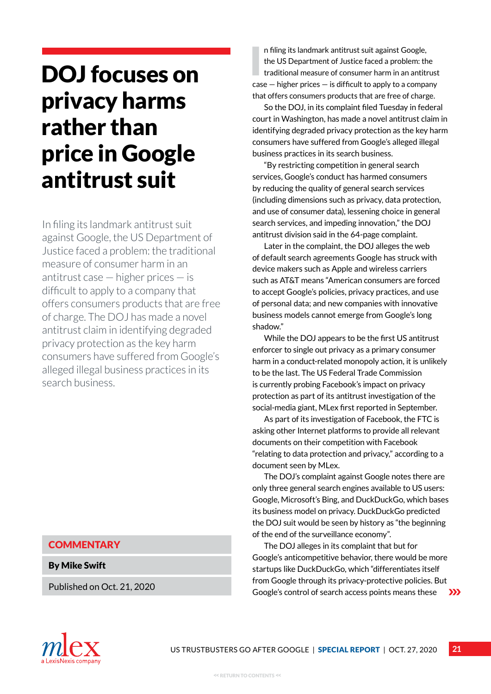## <span id="page-20-0"></span>DOJ focuses on privacy harms rather than price in Google antitrust suit

In filing its landmark antitrust suit against Google, the US Department of Justice faced a problem: the traditional measure of consumer harm in an antitrust case — higher prices — is difficult to apply to a company that offers consumers products that are free of charge. The DOJ has made a novel antitrust claim in identifying degraded privacy protection as the key harm consumers have suffered from Google's alleged illegal business practices in its search business.

### **COMMENTARY**

By Mike Swift

Published on Oct. 21, 2020

I n filing its landmark antitrust suit against Google, the US Department of Justice faced a problem: the traditional measure of consumer harm in an antitrust case — higher prices — is difficult to apply to a company that offers consumers products that are free of charge.

So the DOJ, in its complaint filed Tuesday in federal court in Washington, has made a novel antitrust claim in identifying degraded privacy protection as the key harm consumers have suffered from Google's alleged illegal business practices in its search business.

"By restricting competition in general search services, Google's conduct has harmed consumers by reducing the quality of general search services (including dimensions such as privacy, data protection, and use of consumer data), lessening choice in general search services, and impeding innovation," the DOJ antitrust division said in the 64-page complaint.

Later in the complaint, the DOJ alleges the web of default search agreements Google has struck with device makers such as Apple and wireless carriers such as AT&T means "American consumers are forced to accept Google's policies, privacy practices, and use of personal data; and new companies with innovative business models cannot emerge from Google's long shadow."

While the DOJ appears to be the first US antitrust enforcer to single out privacy as a primary consumer harm in a conduct-related monopoly action, it is unlikely to be the last. The US Federal Trade Commission is currently probing Facebook's impact on privacy protection as part of its antitrust investigation of the social-media giant, MLex first reported in September.

As part of its investigation of Facebook, the FTC is asking other Internet platforms to provide all relevant documents on their competition with Facebook "relating to data protection and privacy," according to a document seen by MLex.

The DOJ's complaint against Google notes there are only three general search engines available to US users: Google, Microsoft's Bing, and DuckDuckGo, which bases its business model on privacy. DuckDuckGo predicted the DOJ suit would be seen by history as "the beginning of the end of the surveillance economy".

The DOJ alleges in its complaint that but for Google's anticompetitive behavior, there would be more startups like DuckDuckGo, which "differentiates itself from Google through its privacy-protective policies. But Google's control of search access points means these  $\sum$ 

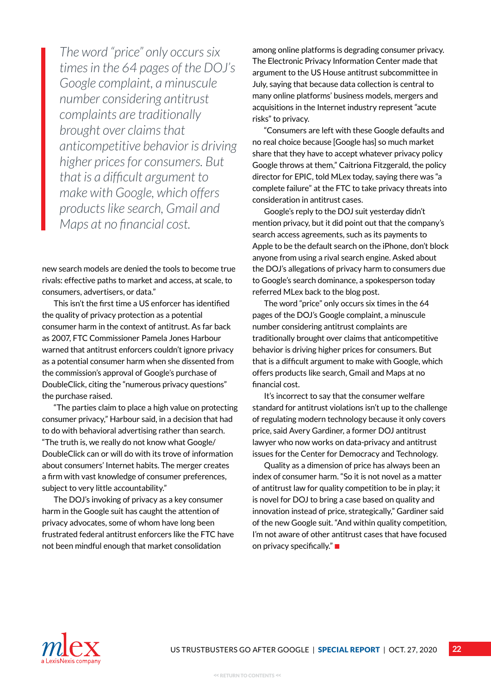*The word "price" only occurs six times in the 64 pages of the DOJ's Google complaint, a minuscule number considering antitrust complaints are traditionally brought over claims that anticompetitive behavior is driving higher prices for consumers. But that is a difficult argument to make with Google, which offers products like search, Gmail and Maps at no financial cost.*

new search models are denied the tools to become true rivals: effective paths to market and access, at scale, to consumers, advertisers, or data."

This isn't the first time a US enforcer has identified the quality of privacy protection as a potential consumer harm in the context of antitrust. As far back as 2007, FTC Commissioner Pamela Jones Harbour warned that antitrust enforcers couldn't ignore privacy as a potential consumer harm when she dissented from the commission's approval of Google's purchase of DoubleClick, citing the "numerous privacy questions" the purchase raised.

"The parties claim to place a high value on protecting consumer privacy," Harbour said, in a decision that had to do with behavioral advertising rather than search. "The truth is, we really do not know what Google/ DoubleClick can or will do with its trove of information about consumers' Internet habits. The merger creates a firm with vast knowledge of consumer preferences, subject to very little accountability."

The DOJ's invoking of privacy as a key consumer harm in the Google suit has caught the attention of privacy advocates, some of whom have long been frustrated federal antitrust enforcers like the FTC have not been mindful enough that market consolidation

among online platforms is degrading consumer privacy. The Electronic Privacy Information Center made that argument to the US House antitrust subcommittee in July, saying that because data collection is central to many online platforms' business models, mergers and acquisitions in the Internet industry represent "acute risks" to privacy.

"Consumers are left with these Google defaults and no real choice because [Google has] so much market share that they have to accept whatever privacy policy Google throws at them," Caitriona Fitzgerald, the policy director for EPIC, told MLex today, saying there was "a complete failure" at the FTC to take privacy threats into consideration in antitrust cases.

Google's reply to the DOJ suit yesterday didn't mention privacy, but it did point out that the company's search access agreements, such as its payments to Apple to be the default search on the iPhone, don't block anyone from using a rival search engine. Asked about the DOJ's allegations of privacy harm to consumers due to Google's search dominance, a spokesperson today referred MLex back to the blog post.

The word "price" only occurs six times in the 64 pages of the DOJ's Google complaint, a minuscule number considering antitrust complaints are traditionally brought over claims that anticompetitive behavior is driving higher prices for consumers. But that is a difficult argument to make with Google, which offers products like search, Gmail and Maps at no financial cost.

It's incorrect to say that the consumer welfare standard for antitrust violations isn't up to the challenge of regulating modern technology because it only covers price, said Avery Gardiner, a former DOJ antitrust lawyer who now works on data-privacy and antitrust issues for the Center for Democracy and Technology.

Quality as a dimension of price has always been an index of consumer harm. "So it is not novel as a matter of antitrust law for quality competition to be in play; it is novel for DOJ to bring a case based on quality and innovation instead of price, strategically," Gardiner said of the new Google suit. "And within quality competition, I'm not aware of other antitrust cases that have focused on privacy specifically." $\blacksquare$ 

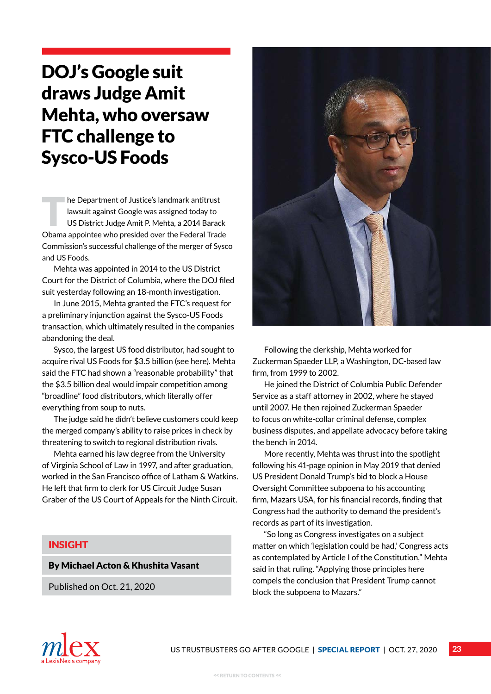## <span id="page-22-0"></span>DOJ's Google suit draws Judge Amit Mehta, who oversaw FTC challenge to Sysco-US Foods

The Department of Justice's landmark antitrust<br>lawsuit against Google was assigned today to<br>US District Judge Amit P. Mehta, a 2014 Barac lawsuit against Google was assigned today to US District Judge Amit P. Mehta, a 2014 Barack Obama appointee who presided over the Federal Trade Commission's successful challenge of the merger of Sysco and US Foods.

Mehta was appointed in 2014 to the US District Court for the District of Columbia, where the DOJ filed suit yesterday following an 18-month investigation.

In June 2015, Mehta granted the FTC's request for a preliminary injunction against the Sysco-US Foods transaction, which ultimately resulted in the companies abandoning the deal.

Sysco, the largest US food distributor, had sought to acquire rival US Foods for \$3.5 billion (see here). Mehta said the FTC had shown a "reasonable probability" that the \$3.5 billion deal would impair competition among "broadline" food distributors, which literally offer everything from soup to nuts.

The judge said he didn't believe customers could keep the merged company's ability to raise prices in check by threatening to switch to regional distribution rivals.

Mehta earned his law degree from the University of Virginia School of Law in 1997, and after graduation, worked in the San Francisco office of Latham & Watkins. He left that firm to clerk for US Circuit Judge Susan Graber of the US Court of Appeals for the Ninth Circuit.

### INSIGHT

### By Michael Acton & Khushita Vasant

Published on Oct. 21, 2020



Following the clerkship, Mehta worked for Zuckerman Spaeder LLP, a Washington, DC-based law firm, from 1999 to 2002.

He joined the District of Columbia Public Defender Service as a staff attorney in 2002, where he stayed until 2007. He then rejoined Zuckerman Spaeder to focus on white-collar criminal defense, complex business disputes, and appellate advocacy before taking the bench in 2014.

More recently, Mehta was thrust into the spotlight following his 41-page opinion in May 2019 that denied US President Donald Trump's bid to block a House Oversight Committee subpoena to his accounting firm, Mazars USA, for his financial records, finding that Congress had the authority to demand the president's records as part of its investigation.

"So long as Congress investigates on a subject matter on which 'legislation could be had,' Congress acts as contemplated by Article I of the Constitution," Mehta said in that ruling. "Applying those principles here compels the conclusion that President Trump cannot block the subpoena to Mazars."